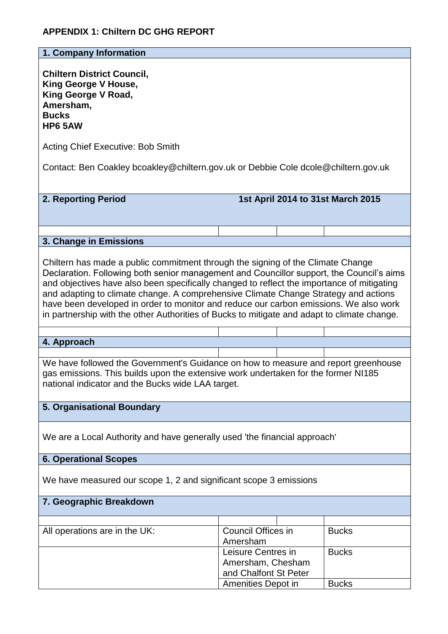# **APPENDIX 1: Chiltern DC GHG REPORT**

**1. Company Information**

**Chiltern District Council, King George V House, King George V Road, Amersham, Bucks HP6 5AW**

Acting Chief Executive: Bob Smith

Contact: Ben Coakley bcoakley@chiltern.gov.uk or Debbie Cole dcole@chiltern.gov.uk

**2. Reporting Period 1st April 2014 to 31st March 2015**

## **3. Change in Emissions**

Chiltern has made a public commitment through the signing of the Climate Change Declaration. Following both senior management and Councillor support, the Council's aims and objectives have also been specifically changed to reflect the importance of mitigating and adapting to climate change. A comprehensive Climate Change Strategy and actions have been developed in order to monitor and reduce our carbon emissions. We also work in partnership with the other Authorities of Bucks to mitigate and adapt to climate change.

#### **4. Approach**

We have followed the Government's Guidance on how to measure and report greenhouse gas emissions. This builds upon the extensive work undertaken for the former NI185 national indicator and the Bucks wide LAA target.

## **5. Organisational Boundary**

We are a Local Authority and have generally used 'the financial approach'

#### **6. Operational Scopes**

We have measured our scope 1, 2 and significant scope 3 emissions

### **7. Geographic Breakdown**

| All operations are in the UK: | Council Offices in    |  | <b>Bucks</b> |
|-------------------------------|-----------------------|--|--------------|
|                               | Amersham              |  |              |
|                               | Leisure Centres in    |  | <b>Bucks</b> |
|                               | Amersham, Chesham     |  |              |
|                               | and Chalfont St Peter |  |              |
|                               | Amenities Depot in    |  | <b>Bucks</b> |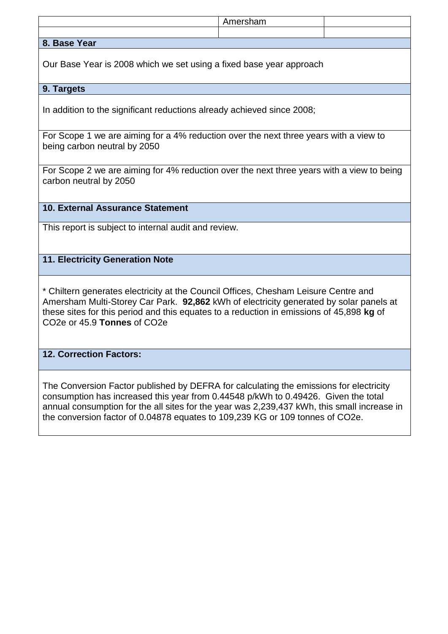|                                                                                                                                                                               | Amersham |  |  |  |  |
|-------------------------------------------------------------------------------------------------------------------------------------------------------------------------------|----------|--|--|--|--|
| 8. Base Year                                                                                                                                                                  |          |  |  |  |  |
|                                                                                                                                                                               |          |  |  |  |  |
| Our Base Year is 2008 which we set using a fixed base year approach                                                                                                           |          |  |  |  |  |
| 9. Targets                                                                                                                                                                    |          |  |  |  |  |
| In addition to the significant reductions already achieved since 2008;                                                                                                        |          |  |  |  |  |
| For Scope 1 we are aiming for a 4% reduction over the next three years with a view to<br>being carbon neutral by 2050                                                         |          |  |  |  |  |
| For Scope 2 we are aiming for 4% reduction over the next three years with a view to being<br>carbon neutral by 2050                                                           |          |  |  |  |  |
| 10. External Assurance Statement                                                                                                                                              |          |  |  |  |  |
| This report is subject to internal audit and review.                                                                                                                          |          |  |  |  |  |
| 11. Electricity Generation Note                                                                                                                                               |          |  |  |  |  |
| * Chiltern generates electricity at the Council Offices, Chesham Leisure Centre and<br>Amersham Multi-Storey Car Park. 92,862 kWh of electricity generated by solar panels at |          |  |  |  |  |

these sites for this period and this equates to a reduction in emissions of 45,898 **kg** of CO2e or 45.9 **Tonnes** of CO2e

# **12. Correction Factors:**

The Conversion Factor published by DEFRA for calculating the emissions for electricity consumption has increased this year from 0.44548 p/kWh to 0.49426. Given the total annual consumption for the all sites for the year was 2,239,437 kWh, this small increase in the conversion factor of 0.04878 equates to 109,239 KG or 109 tonnes of CO2e.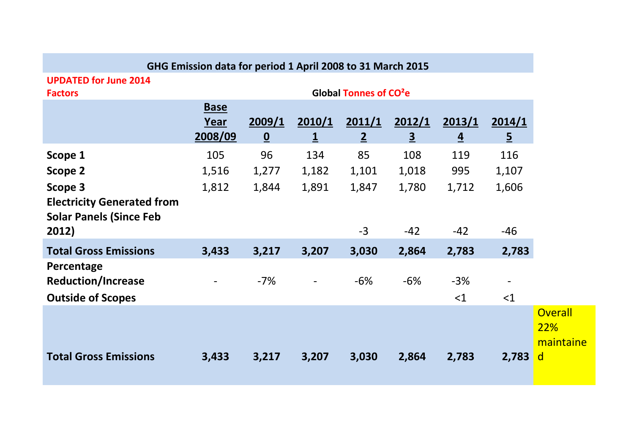|                                                                                         | GHG Emission data for period 1 April 2008 to 31 March 2015 |                                    |                          |                          |                          |                          |                          |
|-----------------------------------------------------------------------------------------|------------------------------------------------------------|------------------------------------|--------------------------|--------------------------|--------------------------|--------------------------|--------------------------|
| <b>UPDATED for June 2014</b><br><b>Factors</b>                                          | Global Tonnes of CO <sup>2</sup> e                         |                                    |                          |                          |                          |                          |                          |
|                                                                                         | <b>Base</b><br>Year<br>2008/09                             | 2009/1<br>$\underline{\mathbf{0}}$ | 2010/1<br>$\overline{1}$ | 2011/1<br>$\overline{2}$ | 2012/1<br>$\overline{3}$ | 2013/1<br>$\overline{4}$ | 2014/1<br>$\overline{5}$ |
| Scope 1<br><b>Scope 2</b>                                                               | 105<br>1,516                                               | 96<br>1,277                        | 134<br>1,182             | 85<br>1,101              | 108<br>1,018             | 119<br>995               | 116<br>1,107             |
| Scope 3<br><b>Electricity Generated from</b><br><b>Solar Panels (Since Feb</b><br>2012) | 1,812                                                      | 1,844                              | 1,891                    | 1,847<br>$-3$            | 1,780<br>$-42$           | 1,712<br>$-42$           | 1,606<br>$-46$           |
| <b>Total Gross Emissions</b>                                                            | 3,433                                                      | 3,217                              | 3,207                    | 3,030                    | 2,864                    | 2,783                    | 2,783                    |
| Percentage<br><b>Reduction/Increase</b><br><b>Outside of Scopes</b>                     |                                                            | $-7%$                              | $\overline{\phantom{a}}$ | $-6%$                    | $-6%$                    | $-3%$<br><1              | <1                       |
| <b>Total Gross Emissions</b>                                                            | 3,433                                                      | 3,217                              | 3,207                    | 3,030                    | 2,864                    | 2,783                    | 2,783                    |